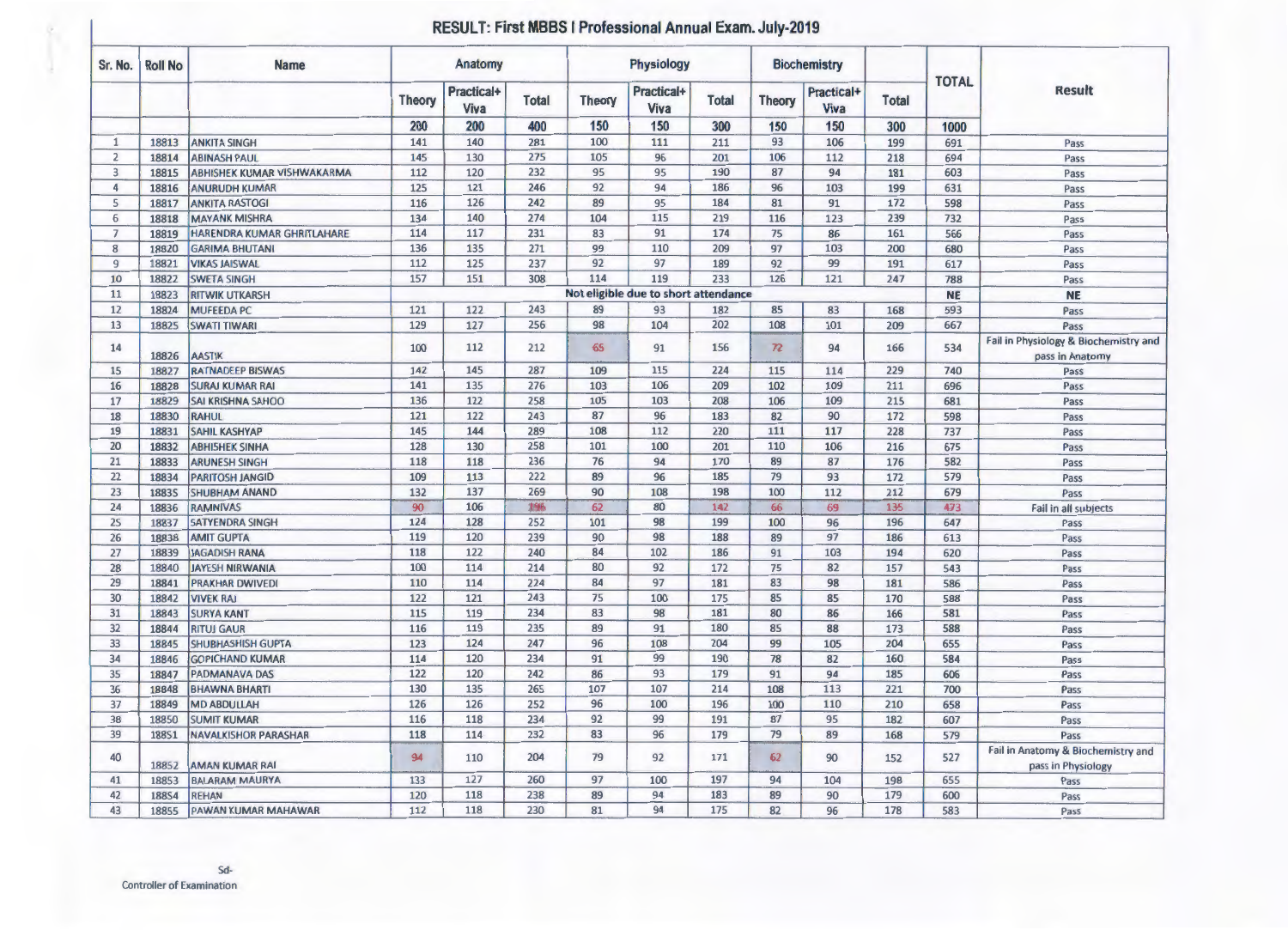## **RESULT: First MBBS I Professional Annual Exam. July-2019**

| Sr. No.        | <b>Roll No</b> | <b>Name</b>                       | Anatomy              |                    |              | Physiology           |                                         |                     | <b>Biochemistry</b>     |                           |                     |                      |                                                          |
|----------------|----------------|-----------------------------------|----------------------|--------------------|--------------|----------------------|-----------------------------------------|---------------------|-------------------------|---------------------------|---------------------|----------------------|----------------------------------------------------------|
|                |                |                                   | <b>Theory</b><br>200 | Practical+<br>Viva | <b>Total</b> | <b>Theory</b><br>150 | <b>Practical+</b><br><b>Viva</b><br>150 | <b>Total</b><br>300 | <b>Theory</b><br>150    | Practical+<br>Viva<br>150 | <b>Total</b><br>300 | <b>TOTAL</b><br>1000 | <b>Result</b>                                            |
|                |                |                                   |                      | 200                | 400          |                      |                                         |                     |                         |                           |                     |                      |                                                          |
| $\mathbf{1}$   | 18813          | <b>ANKITA SINGH</b>               | 141                  | 140                | 281          | 100                  | 111                                     | 211                 | 93                      | 106                       | 199                 | 691                  | Pass                                                     |
| $\overline{2}$ | 18814          | <b>ABINASH PAUL</b>               | 145                  | 130                | 275          | 105                  | 96                                      | 201                 | 106                     | 112                       | 218                 | 694                  | Pass                                                     |
| 3              | 18815          | <b>ABHISHEK KUMAR VISHWAKARMA</b> | 112                  | 120                | 232          | 95                   | 95                                      | 190                 | 87                      | 94                        | 181                 | 603                  | Pass                                                     |
| 4              | 18816          | <b>ANURUDH KUMAR</b>              | 125                  | 121                | 246          | 92                   | 94                                      | 186                 | 96                      | 103                       | 199                 | 631                  | Pass                                                     |
| 5              | 18817          | <b>ANKITA RASTOGI</b>             | 116                  | 126                | 242          | 89                   | 95                                      | 184                 | 81                      | 91                        | 172                 | 598                  | Pass                                                     |
| 6              | 18818          | <b>MAYANK MISHRA</b>              | 134                  | 140                | 274          | 104                  | 115                                     | 219                 | 116                     | 123                       | 239                 | 732                  | Pass                                                     |
| $\overline{7}$ | 18819          | <b>HARENDRA KUMAR GHRITLAHARE</b> | 114                  | 117                | 231          | 83                   | 91                                      | 174                 | 75                      | 86                        | 161                 | 566                  | Pass                                                     |
| 8              | 18820          | <b>GARIMA BHUTANI</b>             | 136                  | 135                | 271          | 99                   | 110                                     | 209                 | 97                      | 103                       | 200                 | 680                  | Pass                                                     |
| $\overline{9}$ | 18821          | <b>VIKAS JAISWAL</b>              | 112                  | 125                | 237          | 92                   | 97                                      | 189                 | 92                      | 99                        | 191                 | 617                  | Pass                                                     |
| 10             | 18822          | <b>SWETA SINGH</b>                | 157                  | 151                | 308          | 114                  | 119                                     | 233                 | 126                     | 121                       | 247                 | 788                  | Pass                                                     |
| 11             | 18823          | <b>RITWIK UTKARSH</b>             |                      |                    |              |                      | Not eligible due to short attendance    |                     |                         |                           |                     | <b>NE</b>            | <b>NE</b>                                                |
| 12             | 18824          | <b>MUFEEDA PC</b>                 | 121                  | 122                | 243          | 89                   | 93                                      | 182                 | 85                      | 83                        | 168                 | 593                  | Pass                                                     |
| 13             | 18825          | <b>SWATI TIWARI</b>               | 129                  | 127                | 256          | 98                   | 104                                     | 202                 | 108                     | 101                       | 209                 | 667                  | Pass                                                     |
| 14             | 18826          | <b>AASTIK</b>                     | 100                  | 112                | 212          | 65                   | 91                                      | 156                 | $\overline{\mathbf{z}}$ | 94                        | 166                 | 534                  | Fail in Physiology & Biochemistry and<br>pass in Anatomy |
| 15             | 18827          | <b>RATNADEEP BISWAS</b>           | 142                  | 145                | 287          | 109                  | 115                                     | 224                 | 115                     | 114                       | 229                 | 740                  | Pass                                                     |
| 16             | 18828          | <b>SURAJ KUMAR RAI</b>            | 141                  | 135                | 276          | 103                  | 106                                     | 209                 | 102                     | 109                       | 211                 | 696                  | Pass                                                     |
| 17             | 18829          | <b>SAI KRISHNA SAHOO</b>          | 136                  | 122                | 258          | 105                  | 103                                     | 208                 | 106                     | 109                       | 215                 | 681                  | Pass                                                     |
| 18             | 18830          | <b>RAHUL</b>                      | 121                  | 122                | 243          | 87                   | 96                                      | 183                 | 82                      | 90                        | 172                 | 598                  | Pass                                                     |
| 19             | 18831          | <b>SAHIL KASHYAP</b>              | 145                  | 144                | 289          | 108                  | 112                                     | 220                 | 111                     | 117                       | 228                 | 737                  | Pass                                                     |
| 20             | 18832          | <b>ABHISHEK SINHA</b>             | 128                  | 130                | 258          | 101                  | 100                                     | 201                 | 110                     | 106                       | 216                 | 675                  | Pass                                                     |
| 21             | 18833          | <b>ARUNESH SINGH</b>              | 118                  | 118                | 236          | 76                   | 94                                      | 170                 | 89                      | 87                        | 176                 | 582                  | Pass                                                     |
| 22             | 18834          | <b>PARITOSH JANGID</b>            | 109                  | 113                | 222          | 89                   | 96                                      | 185                 | 79                      | 93                        | 172                 | 579                  | Pass                                                     |
| 23             | <b>1883S</b>   | <b>SHUBHAM ANAND</b>              | 132                  | 137                | 269          | 90                   | 108                                     | 198                 | 100                     | 112                       | 212                 | 679                  | Pass                                                     |
| 24             | 18836          | <b>RAMNIVAS</b>                   | 90                   | 106                | 196          | 62                   | 80                                      | 142                 | 66                      | 69                        | 135                 | 473                  | Fail in all subjects                                     |
| 2S             | 18837          | <b>SATYENDRA SINGH</b>            | 124                  | 128                | 252          | 101                  | 98                                      | 199                 | 100                     | 96                        | 196                 | 647                  | Pass                                                     |
| 26             | 18838          | <b>AMIT GUPTA</b>                 | 119                  | 120                | 239          | 90                   | 98                                      | 188                 | 89                      | 97                        | 186                 | 613                  | Pass                                                     |
| 27             | 18839          | <b>JAGADISH RANA</b>              | 118                  | 122                | 240          | 84                   | 102                                     | 186                 | 91                      | 103                       | 194                 | 620                  | Pass                                                     |
| 28             | 18840          | <b>JAYESH NIRWANIA</b>            | 100                  | 114                | 214          | 80                   | 92                                      | 172                 | 75                      | 82                        | 157                 | 543                  | Pass                                                     |
| 29             | 18841          | <b>PRAKHAR DWIVEDI</b>            | 110                  | 114                | 224          | 84                   | 97                                      | 181                 | 83                      | 98                        | 181                 | 586                  | Pass                                                     |
| 30             | 18842          | <b>VIVEK RAJ</b>                  | 122                  | 121                | 243          | 75                   | 100                                     | 175                 | 85                      | 85                        | 170                 | 588                  | Pass                                                     |
| 31             | 18843          | <b>SURYA KANT</b>                 | 115                  | 119                | 234          | 83                   | 98                                      | 181                 | 80                      | 86                        | 166                 | 581                  | Pass                                                     |
| 32             | 18844          | <b>RITUJ GAUR</b>                 | 116                  | 119                | 235          | 89                   | 91                                      | 180                 | 85                      | 88                        | 173                 | 588                  | Pass                                                     |
| 33             | 18845          | <b>SHUBHASHISH GUPTA</b>          | 123                  | 124                | 247          | 96                   | 108                                     | 204                 | 99                      | 105                       | 204                 | 655                  | Pass                                                     |
| 34             | 18846          | <b>GOPICHAND KUMAR</b>            | 114                  | 120                | 234          | 91                   | 99                                      | 190                 | 78                      | 82                        | 160                 | 584                  | Pass                                                     |
| 35             | 18847          | <b>PADMANAVA DAS</b>              | 122                  | 120                | 242          | 86                   | 93                                      | 179                 | 91                      | 94                        | 185                 | 606                  | Pass                                                     |
| 36             | 18848          | <b>BHAWNA BHARTI</b>              | 130                  | 135                | 265          | 107                  | 107                                     | 214                 | 108                     | 113                       | 221                 | 700                  | Pass                                                     |
| 37             | 18849          | <b>MD ABDULLAH</b>                | 126                  | 126                | 252          | 96                   | 100                                     | 196                 | 100                     | 110                       | 210                 | 658                  | Pass                                                     |
| 38             | 18850          | <b>SUMIT KUMAR</b>                | 116                  | 118                | 234          | 92                   | 99                                      | 191                 | 87                      | 95                        | 182                 | 607                  | Pass                                                     |
| 39             | <b>188S1</b>   | <b>NAVALKISHOR PARASHAR</b>       | 118                  | 114                | 232          | 83                   | 96                                      | 179                 | 79                      | 89                        | 168                 | 579                  | Pass                                                     |
| 40             | 18852          | <b>AMAN KUMAR RAI</b>             | 94                   | 110                | 204          | 79                   | 92                                      | 171                 | 62                      | 90                        | 152                 | 527                  | Fail in Anatomy & Biochemistry and<br>pass in Physiology |
| 41             | 18853          | <b>BALARAM MAURYA</b>             | 133                  | 127                | 260          | 97                   | 100                                     | 197                 | 94                      | 104                       | 198                 | 655                  | Pass                                                     |
| 42             | <b>188S4</b>   | <b>REHAN</b>                      | 120                  | 118                | 238          | 89                   | 94                                      | 183                 | 89                      | 90                        | 179                 | 600                  | Pass                                                     |
| 43             | 18855          | <b>PAWAN KUMAR MAHAWAR</b>        | 112                  | 118                | 230          | 81                   | 94                                      | 175                 | 82                      | 96                        | 178                 | 583                  | Pass                                                     |
|                |                |                                   |                      |                    |              |                      |                                         |                     |                         |                           |                     |                      |                                                          |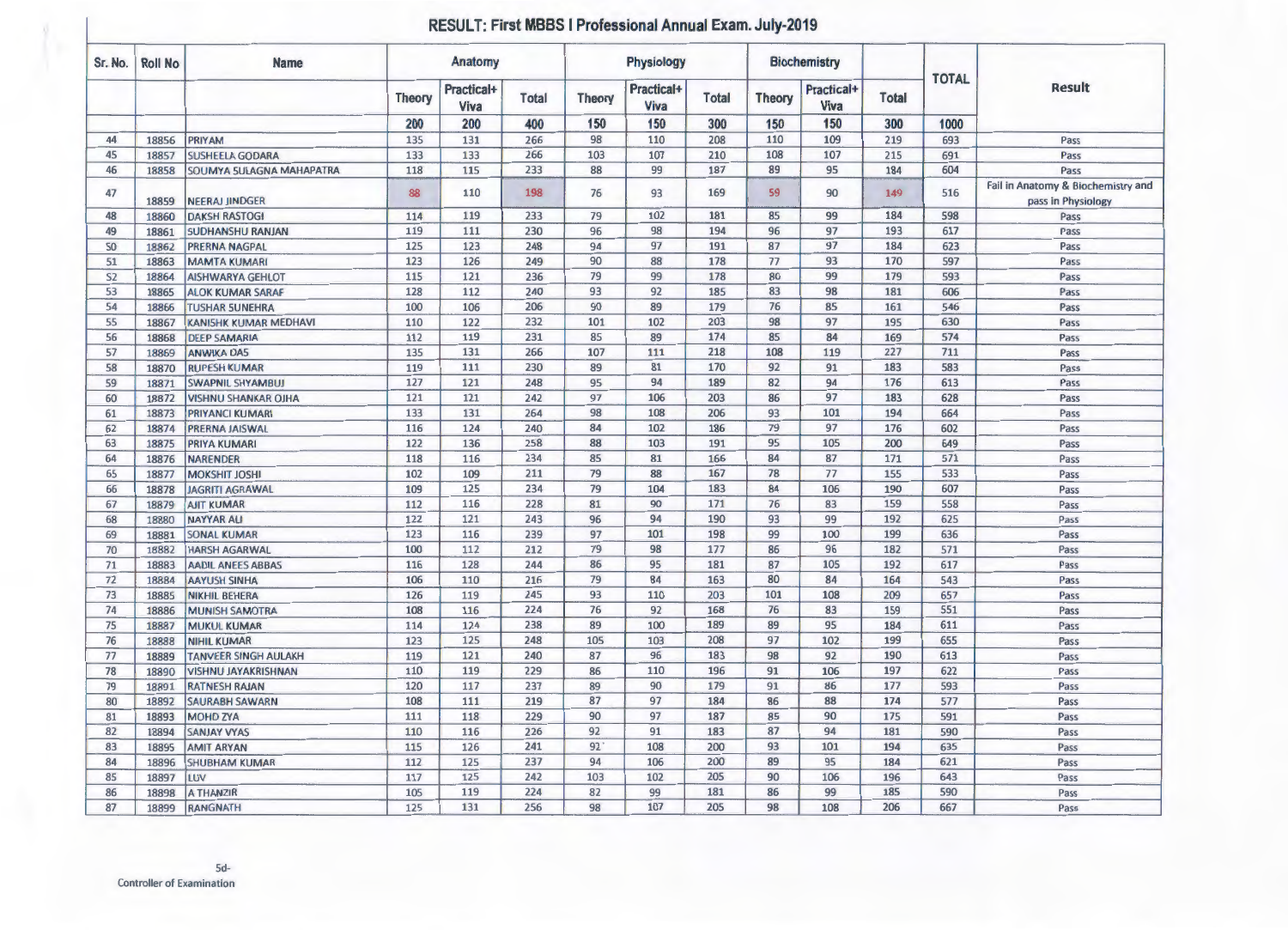## **RESULT: First MBBS I Professional Annual Exam. July-2019**

| Sr. No.        | <b>Roll No</b> | <b>Name</b>                 | Anatomy       |                           |              | <b>Physiology</b> |                           |              |               | <b>Biochemistry</b>       |              |              |                                                          |
|----------------|----------------|-----------------------------|---------------|---------------------------|--------------|-------------------|---------------------------|--------------|---------------|---------------------------|--------------|--------------|----------------------------------------------------------|
|                |                |                             | <b>Theory</b> | <b>Practical+</b><br>Viva | <b>Total</b> | <b>Theory</b>     | <b>Practical+</b><br>Viva | <b>Total</b> | <b>Theory</b> | Practical+<br><b>Viva</b> | <b>Total</b> | <b>TOTAL</b> | <b>Result</b>                                            |
|                |                |                             | 200           | 200                       | 400          | 150               | 150                       | 300          | 150           | 150                       | 300          | 1000         |                                                          |
| 44             | 18856          | <b>PRIYAM</b>               | 135           | 131                       | 266          | 98                | 110                       | 208          | 110           | 109                       | 219          | 693          | Pass                                                     |
| 45             | 18857          | <b>SUSHEELA GODARA</b>      | 133           | 133                       | 266          | 103               | 107                       | 210          | 108           | 107                       | 215          | 691          | Pass                                                     |
| 46             | 18858          | SOUMYA SULAGNA MAHAPATRA    | 118           | 115                       | 233          | 88                | 99                        | 187          | 89            | 95                        | 184          | 604          | Pass                                                     |
| 47             | 18859          | <b>NEERAJ JINDGER</b>       | 88            | 110                       | 198          | 76                | 93                        | 169          | 59            | 90                        | 149          | 516          | Fail in Anatomy & Biochemistry and<br>pass in Physiology |
| 48             | 18860          | <b>DAKSH RASTOG!</b>        | 114           | 119                       | 233          | 79                | 102                       | 181          | 85            | 99                        | 184          | 598          | Pass                                                     |
| 49             | 18861          | <b>SUDHANSHU RANJAN</b>     | 119           | 111                       | 230          | 96                | 98                        | 194          | 96            | 97                        | 193          | 617          | Pass                                                     |
| 50             | 18862          | <b>PRERNA NAGPAL</b>        | 125           | 123                       | 248          | 94                | 97                        | 191          | 87            | 97                        | 184          | 623          | Pass                                                     |
| 51             | 18863          | <b>MAMTA KUMARI</b>         | 123           | 126                       | 249          | 90                | 88                        | 178          | 77            | 93                        | 170          | 597          | Pass                                                     |
| S <sub>2</sub> | 18864          | <b>AISHWARYA GEHLOT</b>     | 115           | 121                       | 236          | 79                | 99                        | 178          | 80            | 99                        | 179          | 593          | Pass                                                     |
| 53             | 18865          | <b>ALOK KUMAR SARAF</b>     | 128           | 112                       | 240          | 93                | 92                        | 185          | 83            | 98                        | 181          | 606          | Pass                                                     |
| 54             | 18866          | <b>TUSHAR SUNEHRA</b>       | 100           | 106                       | 206          | 90                | 89                        | 179          | 76            | 85                        | 161          | 546          | Pass                                                     |
| 55             | 18867          | KANISHK KUMAR MEDHAVI       | 110           | 122                       | 232          | 101               | 102                       | 203          | 98            | 97                        | 195          | 630          | Pass                                                     |
| 56             | 18868          | <b>DEEP SAMARIA</b>         | 112           | 119                       | 231          | 85                | 89                        | 174          | 85            | 84                        | 169          | 574          | Pass                                                     |
| 57             | 18869          | <b>ANWIKA DA5</b>           | 135           | 131                       | 266          | 107               | 111                       | 218          | 108           | 119                       | 227          | 711          | Pass                                                     |
| 58             | 18870          | <b>RUPESH KUMAR</b>         | 119           | 111                       | 230          | 89                | 81                        | 170          | 92            | 91                        | 183          | 583          | Pass                                                     |
| 59             | 18871          | <b>SWAPNIL SHYAMBUJ</b>     | 127           | 121                       | 248          | 95                | 94                        | 189          | 82            | 94                        | 176          | 613          | Pass                                                     |
| 60             | 18872          | <b>VISHNU SHANKAR OJHA</b>  | 121           | 121                       | 242          | 97                | 106                       | 203          | 86            | 97                        | 183          | 628          | Pass                                                     |
| 61             | 18873          | <b>PRIYANCI KUMARI</b>      | 133           | 131                       | 264          | 98                | 108                       | 206          | 93            | 101                       | 194          | 664          | Pass                                                     |
| 62             | 18874          | <b>PRERNA JAISWAL</b>       | 116           | 124                       | 240          | 84                | 102                       | 186          | 79            | 97                        | 176          | 602          | Pass                                                     |
| 63             | 18875          | <b>PRIYA KUMARI</b>         | 122           | 136                       | 258          | 88                | 103                       | 191          | 95            | 105                       | 200          | 649          | Pass                                                     |
| 64             | 18876          | <b>NARENDER</b>             | 118           | 116                       | 234          | 85                | 81                        | 166          | 84            | 87                        | 171          | 571          | Pass                                                     |
| 65             | 18877          | <b>MOKSHIT JOSHI</b>        | 102           | 109                       | 211          | 79                | 88                        | 167          | 78            | 77                        | 155          | 533          | Pass                                                     |
| 66             | 18878          | <b>JAGRITI AGRAWAL</b>      | 109           | 125                       | 234          | 79                | 104                       | 183          | 84            | 106                       | 190          | 607          | Pass                                                     |
| 67             | 18879          | <b>AJIT KUMAR</b>           | 112           | 116                       | 228          | 81                | 90                        | 171          | 76            | 83                        | 159          | 558          | Pass                                                     |
| 68             | 18880          | <b>NAYYAR ALI</b>           | 122           | 121                       | 243          | 96                | 94                        | 190          | 93            | 99                        | 192          | 625          | Pass                                                     |
| 69             | 18881          | <b>SONAL KUMAR</b>          | 123           | 116                       | 239          | 97                | 101                       | 198          | 99            | 100                       | 199          | 636          | Pass                                                     |
| 70             | 18882          | <b>HARSH AGARWAL</b>        | 100           | 112                       | 212          | 79                | 98                        | 177          | 86            | 96                        | 182          | 571          | Pass                                                     |
| 71             | 18883          | <b>AADIL ANEES ABBAS</b>    | 116           | 128                       | 244          | 86                | 95                        | 181          | 87            | 105                       | 192          | 617          | Pass                                                     |
| 72             | 18884          | <b>AAYUSH SINHA</b>         | 106           | 110                       | 216          | 79                | 84                        | 163          | 80            | 84                        | 164          | 543          | Pass                                                     |
| 73             | 18885          | <b>NIKHIL BEHERA</b>        | 126           | 119                       | 245          | 93                | 110                       | 203          | 101           | 108                       | 209          | 657          | Pass                                                     |
| 74             | 18886          | <b>MUNISH SAMOTRA</b>       | 108           | 116                       | 224          | 76                | 92                        | 168          | 76            | 83                        | 159          | 551          | Pass                                                     |
| 75             | 18887          | <b>MUKUL KUMAR</b>          | 114           | 124                       | 238          | 89                | 100                       | 189          | 89            | 95                        | 184          | 611          | Pass                                                     |
| 76             | 18888          | <b>NIHIL KUMAR</b>          | 123           | 125                       | 248          | 105               | 103                       | 208          | 97            | 102                       | 199          | 655          | Pass                                                     |
| 77             | 18889          | <b>TANVEER SINGH AULAKH</b> | 119           | 121                       | 240          | 87                | 96                        | 183          | 98            | 92                        | 190          | 613          | Pass                                                     |
| 78             | 18890          | <b>VISHNU JAYAKRISHNAN</b>  | 110           | 119                       | 229          | 86                | 110                       | 196          | 91            | 106                       | 197          | 622          | Pass                                                     |
| 79             | 18891          | <b>RATNESH RAJAN</b>        | 120           | 117                       | 237          | 89                | 90                        | 179          | 91            | 86                        | 177          | 593          | Pass                                                     |
| 80             | 18892          | <b>SAURABH SAWARN</b>       | 108           | 111                       | 219          | 87                | 97                        | 184          | 86            | 88                        | 174          | 577          | Pass                                                     |
| 81             | 18893          | <b>MOHD ZYA</b>             | 111           | 118                       | 229          | 90                | 97                        | 187          | 85            | 90                        | 175          | 591          | Pass                                                     |
| 82             | 18894          | <b>SANJAY VYAS</b>          | 110           | 116                       | 226          | 92                | 91                        | 183          | 87            | 94                        | 181          | 590          | Pass                                                     |
| 83             | 18895          | <b>AMIT ARYAN</b>           | 115           | 126                       | 241          | 92                | 108                       | 200          | 93            | 101                       | 194          | 635          | Pass                                                     |
| 84             | 18896          | <b>SHUBHAM KUMAR</b>        | 112           | 125                       | 237          | 94                | 106                       | 200          | 89            | 95                        | 184          | 621          | Pass                                                     |
| 85             | 18897          | LUV                         | 117           | 125                       | 242          | 103               | 102                       | 205          | 90            | 106                       | 196          | 643          | Pass                                                     |
| 86             | 18898          | <b>A THANZIR</b>            | 105           | 119                       | 224          | 82                | 99                        | 181          | 86            | 99                        | 185          | 590          | Pass                                                     |
| 87             | 18899          | <b>RANGNATH</b>             | 125           | 131                       | 256          | 98                | 107                       | 205          | 98            | 108                       | 206          | 667          | Pass                                                     |